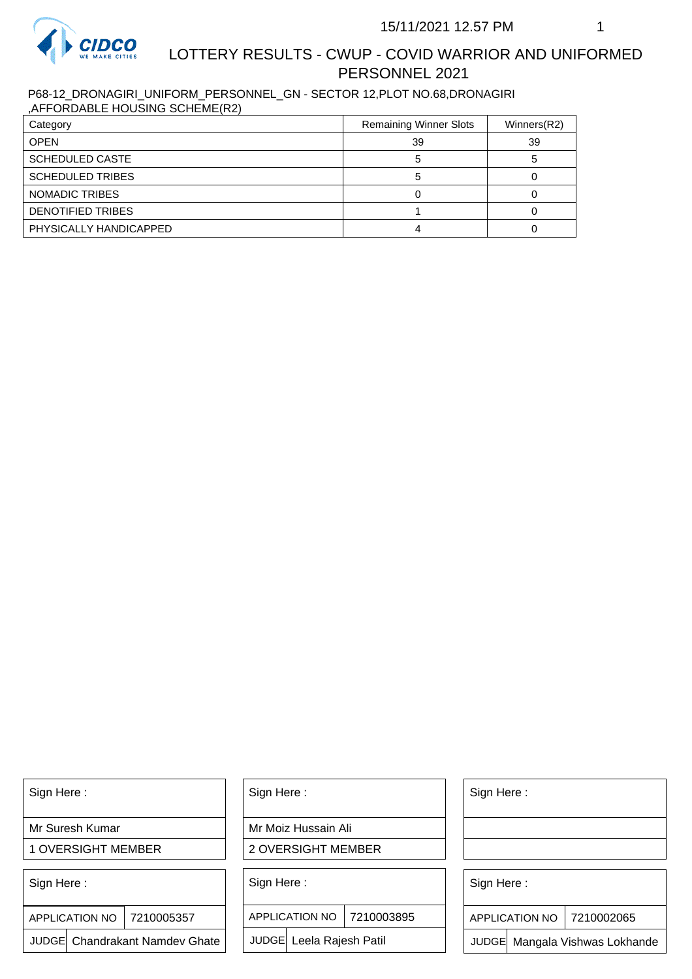

# LOTTERY RESULTS - CWUP - COVID WARRIOR AND UNIFORMED PERSONNEL 2021

P68-12\_DRONAGIRI\_UNIFORM\_PERSONNEL\_GN - SECTOR 12,PLOT NO.68,DRONAGIRI ,AFFORDABLE HOUSING SCHEME(R2)

| Category                | <b>Remaining Winner Slots</b> | Winners(R2) |
|-------------------------|-------------------------------|-------------|
| <b>OPEN</b>             | 39                            | 39          |
| <b>SCHEDULED CASTE</b>  |                               |             |
| <b>SCHEDULED TRIBES</b> |                               |             |
| <b>NOMADIC TRIBES</b>   |                               |             |
| DENOTIFIED TRIBES       |                               |             |
| PHYSICALLY HANDICAPPED  |                               |             |

Sign Here :

Mr Suresh Kumar

1 OVERSIGHT MEMBER

Sign Here :

7210005357 APPLICATION NO

JUDGE Chandrakant Namdev Ghate

Sign Here :

Mr Moiz Hussain Ali

2 OVERSIGHT MEMBER

Sign Here :

APPLICATION NO 7210003895

JUDGE Leela Rajesh Patil

Sign Here :

Sign Here :

APPLICATION NO | 7210002065

Chandrakant Namdev Ghate  $|\quad|$  JUDGE Leela Rajesh Patil  $|\quad|$  JUDGE Mangala Vishwas Lokhande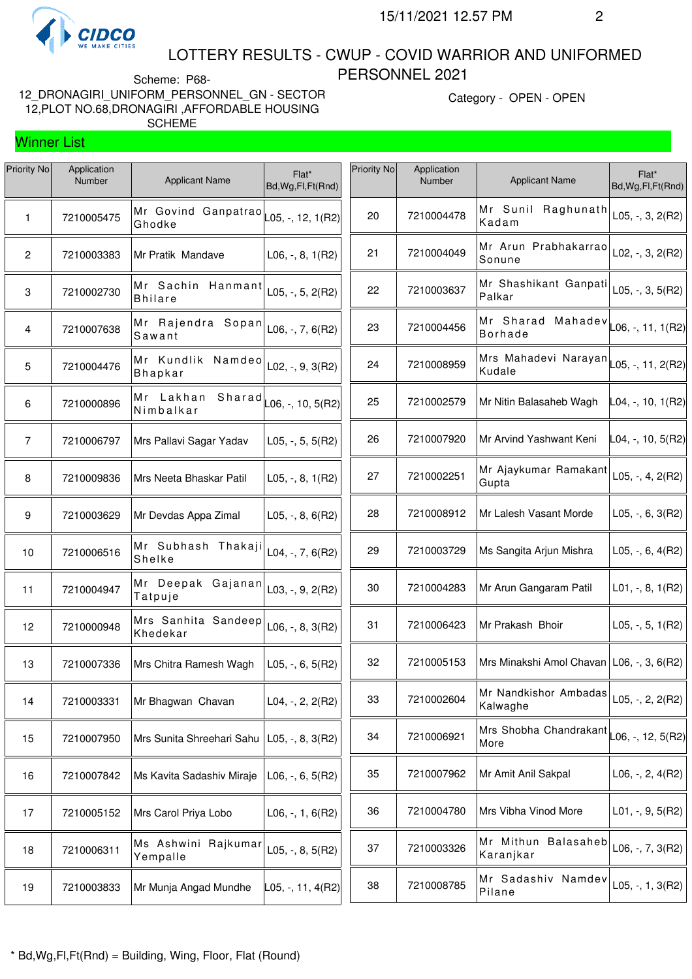

Winner List

#### LOTTERY RESULTS - CWUP - COVID WARRIOR AND UNIFORMED PERSONNEL 2021

Scheme: P68- 12\_DRONAGIRI\_UNIFORM\_PERSONNEL\_GN - SECTOR 12,PLOT NO.68,DRONAGIRI ,AFFORDABLE HOUSING SCHEME

Category - OPEN - OPEN

<sup>7210008785</sup> Mr Sadashiv Namdev Pilane L05, -, 1, 3(R2)

| Priority No    | Application<br>Number | <b>Applicant Name</b>                                          | $Flat*$<br>Bd, Wg, Fl, Ft (Rnd) | Priority No | Application<br>Number | <b>Applicant Name</b>                                                     | Flat*<br>Bd, Wg, Fl, Ft(Rnd) |
|----------------|-----------------------|----------------------------------------------------------------|---------------------------------|-------------|-----------------------|---------------------------------------------------------------------------|------------------------------|
| 1              | 7210005475            | Mr Govind Ganpatrao $\vert$ $\vert$ 05, -, 12, 1(R2)<br>Ghodke |                                 | 20          | 7210004478            | Mr Sunil Raghunath<br>Kadam                                               | L05, $-$ , 3, 2(R2)          |
| 2              | 7210003383            | Mr Pratik Mandave                                              | $L06, -, 8, 1(R2)$              | 21          | 7210004049            | Mr Arun Prabhakarrao<br>Sonune                                            | L02, $-$ , 3, 2(R2)          |
| 3              | 7210002730            | Mr Sachin Hanmant<br><b>Bhilare</b>                            | L05, $-$ , 5, 2(R2)             | 22          | 7210003637            | Mr Shashikant Ganpati<br>Palkar                                           | L05, $-$ , 3, 5(R2)          |
| 4              | 7210007638            | Mr Rajendra Sopan<br>Sawant                                    | $L06, -7, 6(R2)$                | 23          | 7210004456            | Mr Sharad Mahadev $\vert$ <sub>L06, -</sub> , 11, 1(R2)<br><b>Borhade</b> |                              |
| 5              | 7210004476            | Mr Kundlik Namdeo<br><b>Bhapkar</b>                            | $L02, -, 9, 3(R2)$              | 24          | 7210008959            | Mrs Mahadevi Narayan<br>Kudale                                            | L05, -, 11, 2(R2)            |
| 6              | 7210000896            | Mr Lakhan Sharad<br>Nimbalkar                                  | $\vert$ L06, -, 10, 5(R2)       | 25          | 7210002579            | Mr Nitin Balasaheb Wagh                                                   | L04, -, 10, 1(R2)            |
| $\overline{7}$ | 7210006797            | Mrs Pallavi Sagar Yadav                                        | $L05, -, 5, 5(R2)$              | 26          | 7210007920            | Mr Arvind Yashwant Keni                                                   | L04, -, 10, 5(R2)            |
| 8              | 7210009836            | Mrs Neeta Bhaskar Patil                                        | $L05, -, 8, 1(R2)$              | 27          | 7210002251            | Mr Ajaykumar Ramakant<br>Gupta                                            | L05, $-$ , 4, 2(R2)          |
| 9              | 7210003629            | Mr Devdas Appa Zimal                                           | L05, $-$ , 8, 6(R2)             | 28          | 7210008912            | Mr Lalesh Vasant Morde                                                    | L05, $-$ , 6, 3(R2)          |
| 10             | 7210006516            | Mr Subhash Thakaji<br>Shelke                                   | L04, -, 7, $6(R2)$              | 29          | 7210003729            | Ms Sangita Arjun Mishra                                                   | L05, $-$ , 6, 4(R2)          |
| 11             | 7210004947            | Mr Deepak Gajanan<br>Tatpuje                                   | $L03, -, 9, 2(R2)$              | 30          | 7210004283            | Mr Arun Gangaram Patil                                                    | $L01, -, 8, 1(R2)$           |
| 12             | 7210000948            | Mrs Sanhita Sandeep<br>Khedekar                                | L06, $-$ , 8, 3(R2)             | 31          | 7210006423            | Mr Prakash Bhoir                                                          | L05, $-$ , 5, 1(R2)          |
| 13             | 7210007336            | Mrs Chitra Ramesh Wagh                                         | L05, $-$ , 6, 5(R2)             | 32          | 7210005153            | Mrs Minakshi Amol Chavan   L06, -, 3, 6(R2)                               |                              |
| 14             | 7210003331            | Mr Bhagwan Chavan                                              | L04, $-$ , 2, 2(R2)             | 33          | 7210002604            | Mr Nandkishor Ambadas<br>Kalwaghe                                         | L05, $-$ , 2, 2(R2)          |
| 15             | 7210007950            | Mrs Sunita Shreehari Sahu                                      | $L05, -, 8, 3(R2)$              | 34          | 7210006921            | Mrs Shobha Chandrakant<br>More                                            | L06, -, 12, 5(R2)            |
| 16             | 7210007842            | Ms Kavita Sadashiv Miraje                                      | $L06, -, 6, 5(R2)$              | 35          | 7210007962            | Mr Amit Anil Sakpal                                                       | L06, $-$ , 2, 4(R2)          |
| 17             | 7210005152            | Mrs Carol Priya Lobo                                           | $L06, -1, 6(R2)$                | 36          | 7210004780            | Mrs Vibha Vinod More                                                      | $L01, -, 9, 5(R2)$           |
| 18             | 7210006311            | Ms Ashwini Rajkumar<br>Yempalle                                | L05, $-$ , 8, 5(R2)             | 37          | 7210003326            | Mr Mithun Balasaheb<br>Karanjkar                                          | $L06, -7, 3(R2)$             |
|                |                       |                                                                |                                 |             |                       |                                                                           |                              |

7210003833 Mr Munja Angad Mundhe L05, -, 11, 4(R2)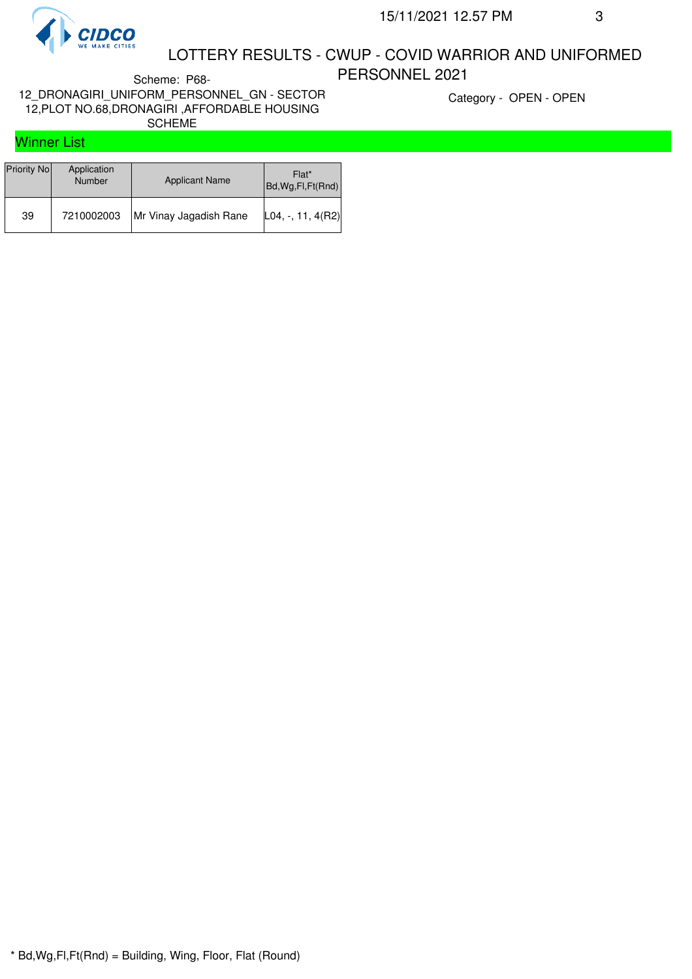

### LOTTERY RESULTS - CWUP - COVID WARRIOR AND UNIFORMED PERSONNEL 2021

Scheme: P68- 12\_DRONAGIRI\_UNIFORM\_PERSONNEL\_GN - SECTOR 12,PLOT NO.68,DRONAGIRI ,AFFORDABLE HOUSING SCHEME

Category - OPEN - OPEN

## Winner List

| Priority No | Application<br><b>Number</b> | <b>Applicant Name</b>  | Flat*<br>Bd, Wg, Fl, Ft (Rnd) |
|-------------|------------------------------|------------------------|-------------------------------|
| 39          | 7210002003                   | Mr Vinay Jagadish Rane | $ L04, -, 11, 4(R2) $         |